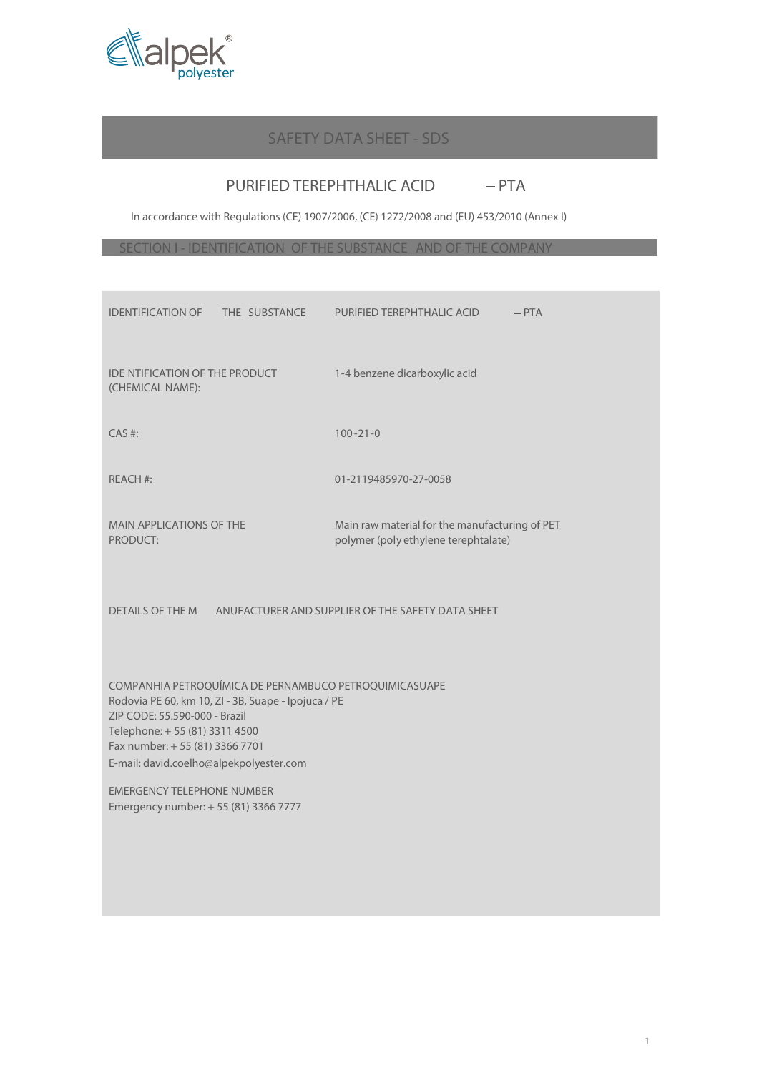

### SAFETY DATA SHEET - SDS

# PURIFIED TEREPHTHALIC ACID - PTA

In accordance with Regulations (CE) 1907/2006, (CE) 1272/2008 and (EU) 453/2010 (Annex I)

SECTION I - IDENTIFICATION OF THE SUBSTANCE AND OF THE COMPANY

| <b>IDENTIFICATION OF</b><br>THE SUBSTANCE                                                                                                                                                                                                                      | $-$ PTA<br>PURIFIED TEREPHTHALIC ACID                                                  |  |
|----------------------------------------------------------------------------------------------------------------------------------------------------------------------------------------------------------------------------------------------------------------|----------------------------------------------------------------------------------------|--|
| <b>IDE NTIFICATION OF THE PRODUCT</b><br>(CHEMICAL NAME):                                                                                                                                                                                                      | 1-4 benzene dicarboxylic acid                                                          |  |
| $CAS$ #:                                                                                                                                                                                                                                                       | $100 - 21 - 0$                                                                         |  |
| <b>REACH #:</b>                                                                                                                                                                                                                                                | 01-2119485970-27-0058                                                                  |  |
| <b>MAIN APPLICATIONS OF THE</b><br>PRODUCT:                                                                                                                                                                                                                    | Main raw material for the manufacturing of PET<br>polymer (poly ethylene terephtalate) |  |
| <b>DETAILS OF THE M</b>                                                                                                                                                                                                                                        | ANUFACTURER AND SUPPLIER OF THE SAFETY DATA SHEET                                      |  |
| COMPANHIA PETROQUÍMICA DE PERNAMBUCO PETROQUIMICASUAPE<br>Rodovia PE 60, km 10, ZI - 3B, Suape - Ipojuca / PE<br>ZIP CODE: 55.590-000 - Brazil<br>Telephone: + 55 (81) 3311 4500<br>Fax number: + 55 (81) 3366 7701<br>E-mail: david.coelho@alpekpolyester.com |                                                                                        |  |
| <b>EMERGENCY TELEPHONE NUMBER</b><br>Emergency number: +55 (81) 3366 7777                                                                                                                                                                                      |                                                                                        |  |
|                                                                                                                                                                                                                                                                |                                                                                        |  |
|                                                                                                                                                                                                                                                                |                                                                                        |  |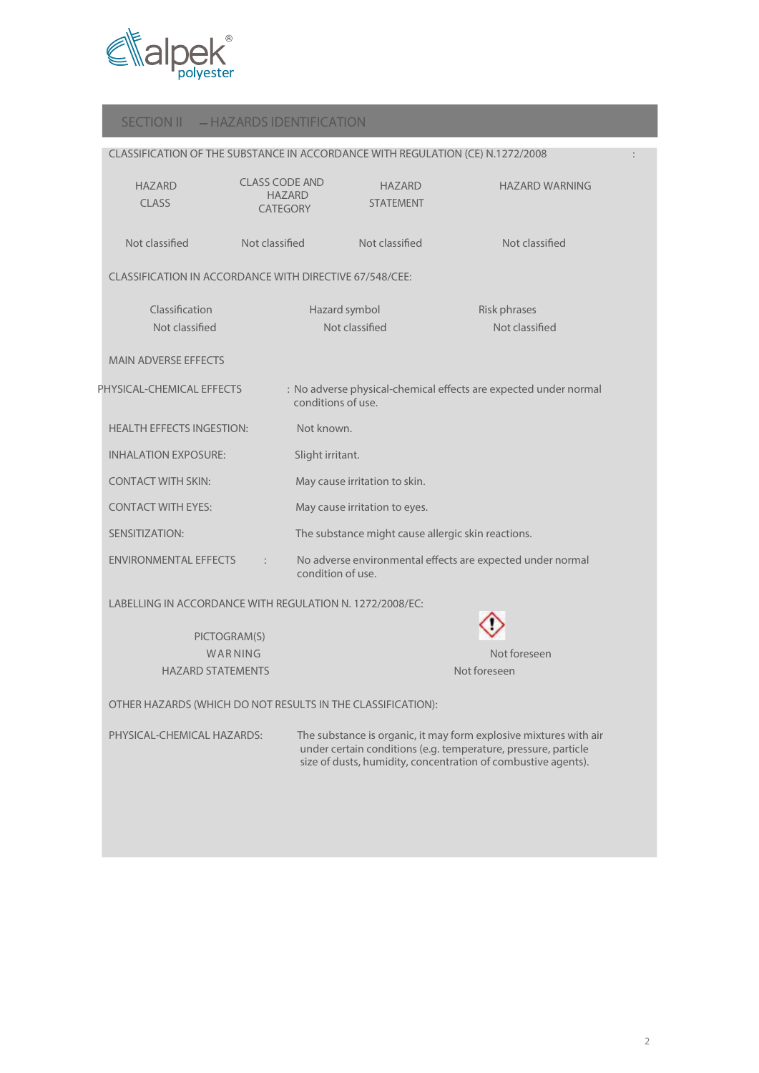

#### SECTION II - HAZARDS IDENTIFICATION

| CLASSIFICATION OF THE SUBSTANCE IN ACCORDANCE WITH REGULATION (CE) N.1272/2008 |                                                           |                    |                                                    |                                                                  |  |
|--------------------------------------------------------------------------------|-----------------------------------------------------------|--------------------|----------------------------------------------------|------------------------------------------------------------------|--|
| <b>HAZARD</b><br><b>CLASS</b>                                                  | <b>CLASS CODE AND</b><br><b>HAZARD</b><br><b>CATEGORY</b> |                    | <b>HAZARD</b><br><b>STATEMENT</b>                  | <b>HAZARD WARNING</b>                                            |  |
| Not classified                                                                 | Not classified                                            |                    | Not classified                                     | Not classified                                                   |  |
| CLASSIFICATION IN ACCORDANCE WITH DIRECTIVE 67/548/CEE:                        |                                                           |                    |                                                    |                                                                  |  |
| Classification                                                                 |                                                           |                    | Hazard symbol                                      | Risk phrases                                                     |  |
| Not classified                                                                 |                                                           |                    | Not classified                                     | Not classified                                                   |  |
| <b>MAIN ADVERSE EFFECTS</b>                                                    |                                                           |                    |                                                    |                                                                  |  |
| PHYSICAL-CHEMICAL EFFECTS                                                      |                                                           | conditions of use. |                                                    | : No adverse physical-chemical effects are expected under normal |  |
| <b>HEALTH EFFECTS INGESTION:</b>                                               |                                                           | Not known.         |                                                    |                                                                  |  |
| <b>INHALATION EXPOSURE:</b>                                                    |                                                           | Slight irritant.   |                                                    |                                                                  |  |
| <b>CONTACT WITH SKIN:</b>                                                      |                                                           |                    | May cause irritation to skin.                      |                                                                  |  |
| <b>CONTACT WITH EYES:</b>                                                      |                                                           |                    | May cause irritation to eyes.                      |                                                                  |  |
| SENSITIZATION:                                                                 |                                                           |                    | The substance might cause allergic skin reactions. |                                                                  |  |
| <b>ENVIRONMENTAL EFFECTS</b>                                                   | $\ddot{\phantom{a}}$                                      | condition of use.  |                                                    | No adverse environmental effects are expected under normal       |  |
| LADELLINIC IN ACCORDANCE WITH RECHEATION NUMBER 1999 19999 15C                 |                                                           |                    |                                                    |                                                                  |  |

LABELLING IN ACCORDANCE WITH REGULATION N. 1272/2008/EC:

PICTOGRAM(S) **HAZARD STATEMENTS** Not foreseen

war Ning and the second control of the second control of the second control of the second control of the second control of the second control of the second control of the second control of the second control of the second

OTHER HAZARDS (WHICH DO NOT RESULTS IN THE CLASSIFICATION):

PHYSICAL-CHEMICAL HAZARDS: The substance is organic, it may form explosive mixtures with air under certain conditions (e.g. temperature, pressure, particle size of dusts, humidity, concentration of combustive agents).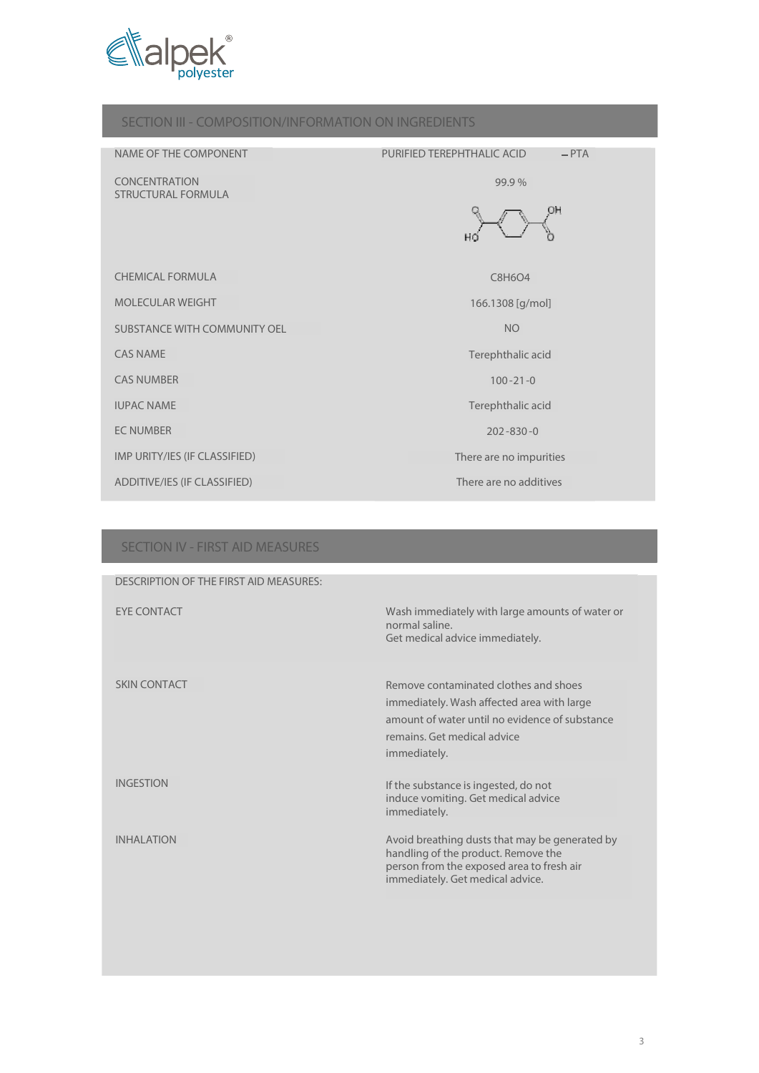

# SECTION III - COMPOSITION/INFORMATION ON INGREDIENTS NAME OF THE COMPONENT **PURIFIED TEREPHTHALIC ACID**  $-PTA$ **CONCENTRATION** 99.9 % STRUCTURAL FORMULA OH CHEMICAL FORMULA CHEMICAL CORPORATION CONTRACT CONTRACT CONTRACT CONTRACT CONTRACT CONTRACT CONTRACT CONTRACT CONTRACT CONTRACT CONTRACT CONTRACT CONTRACT CONTRACT CONTRACT CONTRACT CONTRACT CONTRACT CONTRACT CONTRACT CONT MOLECULAR WEIGHT 166.1308 [g/mol] SUBSTANCE WITH COMMUNITY OEL **NO** CAS NAME Terephthalic acid CAS NUMBER 100 -21-0 IUPAC NAME Terephthalic acid EC NUMBER 202 -830 -0 IMP URITY/IES (IF CLASSIFIED) There are no impurities ADDITIVE/IES (IF CLASSIFIED) **There are no additives**

#### SECTION IV - FIRST AID MEASURES

| DESCRIPTION OF THE FIRST AID MEASURES: |                                                                                                                                                                                      |
|----------------------------------------|--------------------------------------------------------------------------------------------------------------------------------------------------------------------------------------|
| <b>FYF CONTACT</b>                     | Wash immediately with large amounts of water or<br>normal saline.<br>Get medical advice immediately.                                                                                 |
| <b>SKIN CONTACT</b>                    | Remove contaminated clothes and shoes<br>immediately. Wash affected area with large<br>amount of water until no evidence of substance<br>remains. Get medical advice<br>immediately. |
| <b>INGESTION</b>                       | If the substance is ingested, do not<br>induce vomiting. Get medical advice<br>immediately.                                                                                          |
| <b>INHAI ATION</b>                     | Avoid breathing dusts that may be generated by<br>handling of the product. Remove the<br>person from the exposed area to fresh air<br>immediately. Get medical advice.               |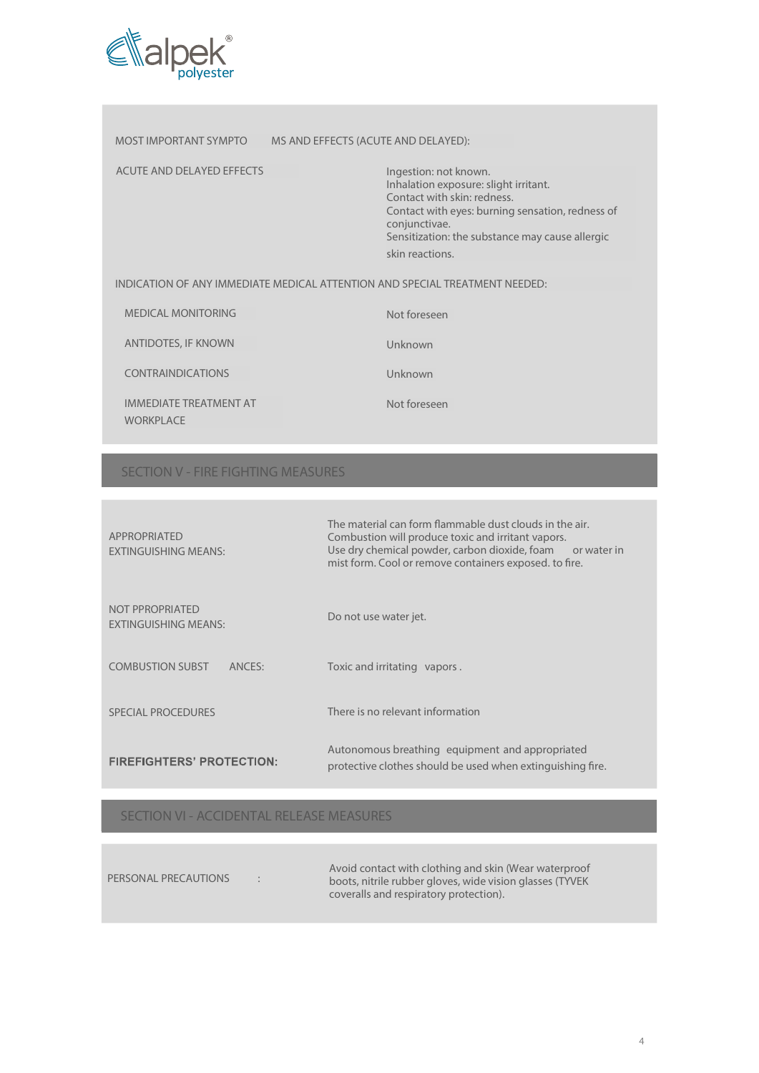

| MOST IMPORTANT SYMPTO      | MS AND EFFECTS (ACUTE AND DELAYED):                                                                                                                                                  |                                                  |
|----------------------------|--------------------------------------------------------------------------------------------------------------------------------------------------------------------------------------|--------------------------------------------------|
| ACUTE AND DELAYED EFFECTS  | Ingestion: not known.<br>Inhalation exposure: slight irritant.<br>Contact with skin: redness.<br>conjunctivae.<br>Sensitization: the substance may cause allergic<br>skin reactions. | Contact with eyes: burning sensation, redness of |
|                            | INDICATION OF ANY IMMEDIATE MEDICAL ATTENTION AND SPECIAL TREATMENT NEEDED:                                                                                                          |                                                  |
| <b>MEDICAL MONITORING</b>  | Not foreseen                                                                                                                                                                         |                                                  |
| <b>ANTIDOTES, IF KNOWN</b> | Unknown                                                                                                                                                                              |                                                  |
| <b>CONTRAINDICATIONS</b>   | Unknown                                                                                                                                                                              |                                                  |

IMMEDIATE TREATMENT AT WORKPLACE

Not foreseen

# SECTION V - FIRE FIGHTING MEASURES

| <b>APPROPRIATED</b><br><b>EXTINGUISHING MEANS:</b> | The material can form flammable dust clouds in the air.<br>Combustion will produce toxic and irritant vapors.<br>Use dry chemical powder, carbon dioxide, foam or water in<br>mist form. Cool or remove containers exposed, to fire. |
|----------------------------------------------------|--------------------------------------------------------------------------------------------------------------------------------------------------------------------------------------------------------------------------------------|
| NOT PPROPRIATED<br><b>EXTINGUISHING MEANS:</b>     | Do not use water jet.                                                                                                                                                                                                                |
| <b>COMBUSTION SUBST</b><br>ANCES:                  | Toxic and irritating vapors.                                                                                                                                                                                                         |
| SPECIAL PROCEDURES                                 | There is no relevant information                                                                                                                                                                                                     |
| <b>FIREFIGHTERS' PROTECTION:</b>                   | Autonomous breathing equipment and appropriated<br>protective clothes should be used when extinguishing fire.                                                                                                                        |

SECTION VI - ACCIDENTAL RELEASE MEASURES

| PERSONAL PRECAUTIONS<br>$\bullet$ | Avoid contact with clothing and skin (Wear waterproof<br>boots, nitrile rubber gloves, wide vision glasses (TYVEK)<br>coveralls and respiratory protection). |
|-----------------------------------|--------------------------------------------------------------------------------------------------------------------------------------------------------------|
|-----------------------------------|--------------------------------------------------------------------------------------------------------------------------------------------------------------|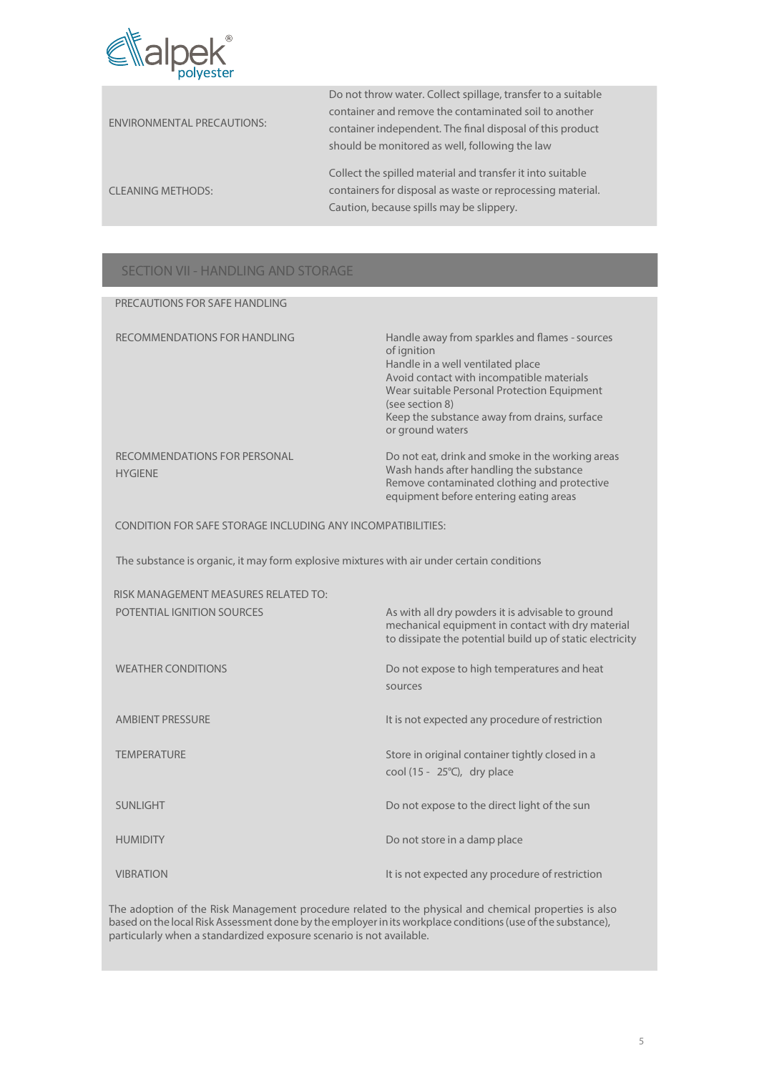

| <b>ENVIRONMENTAL PRECAUTIONS:</b> | Do not throw water. Collect spillage, transfer to a suitable<br>container and remove the contaminated soil to another<br>container independent. The final disposal of this product<br>should be monitored as well, following the law |
|-----------------------------------|--------------------------------------------------------------------------------------------------------------------------------------------------------------------------------------------------------------------------------------|
| <b>CLEANING METHODS:</b>          | Collect the spilled material and transfer it into suitable<br>containers for disposal as waste or reprocessing material.<br>Caution, because spills may be slippery.                                                                 |

## SECTION VII - HANDLING AND STORAGE

| PRECAUTIONS FOR SAFE HANDLING                               |                                                                                                                                                                                                                                                                                       |
|-------------------------------------------------------------|---------------------------------------------------------------------------------------------------------------------------------------------------------------------------------------------------------------------------------------------------------------------------------------|
| RECOMMENDATIONS FOR HANDLING                                | Handle away from sparkles and flames - sources<br>of ignition<br>Handle in a well ventilated place<br>Avoid contact with incompatible materials<br>Wear suitable Personal Protection Equipment<br>(see section 8)<br>Keep the substance away from drains, surface<br>or ground waters |
| RECOMMENDATIONS FOR PERSONAL<br><b>HYGIENE</b>              | Do not eat, drink and smoke in the working areas<br>Wash hands after handling the substance<br>Remove contaminated clothing and protective<br>equipment before entering eating areas                                                                                                  |
| CONDITION FOR SAFE STORAGE INCLUDING ANY INCOMPATIBILITIES: |                                                                                                                                                                                                                                                                                       |

The substance is organic, it may form explosive mixtures with air under certain conditions

| RISK MANAGEMENT MEASURES RELATED TO: |                                                                                                                                                                     |
|--------------------------------------|---------------------------------------------------------------------------------------------------------------------------------------------------------------------|
| POTENTIAL IGNITION SOURCES           | As with all dry powders it is advisable to ground<br>mechanical equipment in contact with dry material<br>to dissipate the potential build up of static electricity |
| <b>WEATHER CONDITIONS</b>            | Do not expose to high temperatures and heat<br>sources                                                                                                              |
| AMBIENT PRESSURE                     | It is not expected any procedure of restriction                                                                                                                     |
| <b>TEMPERATURE</b>                   | Store in original container tightly closed in a<br>cool (15 - $25^{\circ}$ C), dry place                                                                            |
| <b>SUNLIGHT</b>                      | Do not expose to the direct light of the sun                                                                                                                        |
| <b>HUMIDITY</b>                      | Do not store in a damp place                                                                                                                                        |
| <b>VIBRATION</b>                     | It is not expected any procedure of restriction                                                                                                                     |

The adoption of the Risk Management procedure related to the physical and chemical properties is also based on the local Risk Assessment done by the employerinits workplace conditions(use ofthe substance), particularly when a standardized exposure scenario is not available.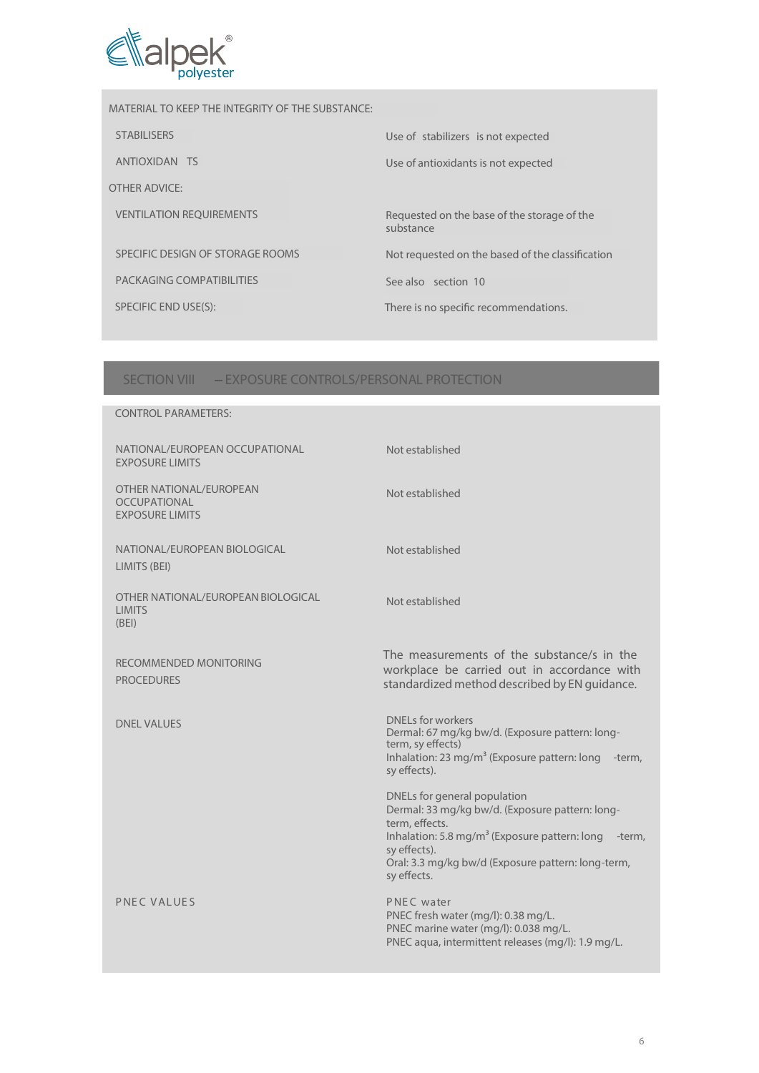

MATERIAL TO KEEP THE INTEGRITY OF THE SUBSTANCE: STABILISERS Use of stabilizers is not expected ANTIOXIDAN TS Use of antioxidants is not expected OTHER ADVICE: VENTILATION REQUIREMENTS Requested on the base of the storage of the substance SPECIFIC DESIGN OF STORAGE ROOMS Not requested on the based of the classification PACKAGING COMPATIBILITIES See also section 10 SPECIFIC END USE(S): There is no specific recommendations.

### SECTION VIII - EXPOSURE CONTROLS/PERSONAL PROTECTION

| <b>CONTROL PARAMETERS:</b>                                               |                                                                                                                                                                                                                                                               |
|--------------------------------------------------------------------------|---------------------------------------------------------------------------------------------------------------------------------------------------------------------------------------------------------------------------------------------------------------|
| NATIONAL/EUROPEAN OCCUPATIONAL<br><b>EXPOSURE LIMITS</b>                 | Not established                                                                                                                                                                                                                                               |
| OTHER NATIONAL/EUROPEAN<br><b>OCCUPATIONAL</b><br><b>EXPOSURE LIMITS</b> | Not established                                                                                                                                                                                                                                               |
| NATIONAL/EUROPEAN BIOLOGICAL<br>LIMITS (BEI)                             | Not established                                                                                                                                                                                                                                               |
| OTHER NATIONAL/EUROPEAN BIOLOGICAL<br><b>LIMITS</b><br>(BEI)             | Not established                                                                                                                                                                                                                                               |
| RECOMMENDED MONITORING<br><b>PROCEDURES</b>                              | The measurements of the substance/s in the<br>workplace be carried out in accordance with<br>standardized method described by EN guidance.                                                                                                                    |
| <b>DNEL VALUES</b>                                                       | <b>DNELs for workers</b><br>Dermal: 67 mg/kg bw/d. (Exposure pattern: long-<br>term, sy effects)<br>Inhalation: 23 mg/m <sup>3</sup> (Exposure pattern: long<br>-term.<br>sy effects).                                                                        |
|                                                                          | DNELs for general population<br>Dermal: 33 mg/kg bw/d. (Exposure pattern: long-<br>term, effects.<br>Inhalation: 5.8 mg/m <sup>3</sup> (Exposure pattern: long<br>-term,<br>sy effects).<br>Oral: 3.3 mg/kg bw/d (Exposure pattern: long-term,<br>sy effects. |
| PNEC VALUES                                                              | PNEC water<br>PNEC fresh water (mg/l): 0.38 mg/L.<br>PNEC marine water (mg/l): 0.038 mg/L.<br>PNEC aqua, intermittent releases (mg/l): 1.9 mg/L.                                                                                                              |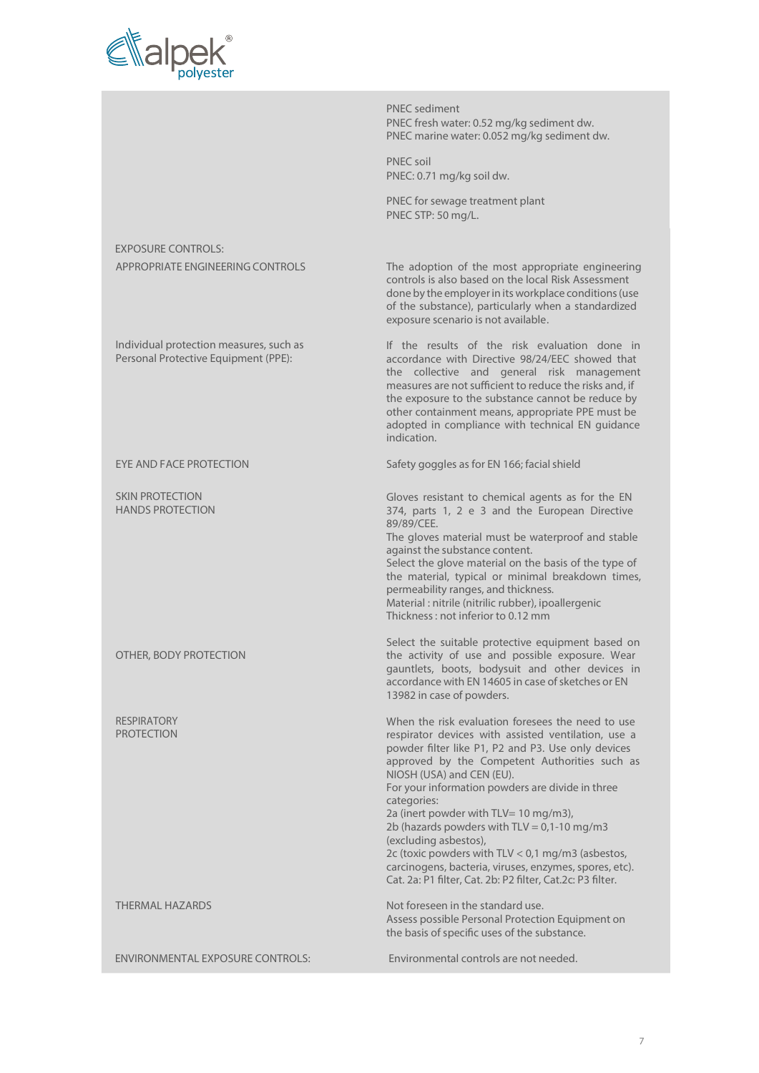

PNEC sediment PNEC fresh water: 0.52 mg/kg sediment dw. PNEC marine water: 0.052 mg/kg sediment dw. PNEC soil PNEC: 0.71 mg/kg soil dw. PNEC for sewage treatment plant PNEC STP: 50 mg/L. EXPOSURE CONTROLS: APPROPRIATE ENGINEERING CONTROLS The adoption of the most appropriate engineering controls is also based on the local Risk Assessment done by the employerin its workplace conditions(use of the substance), particularly when a standardized exposure scenario is not available. Individual protection measures, such as Personal Protective Equipment (PPE): If the results of the risk evaluation done in accordance with Directive 98/24/EEC showed that the collective and general risk management measures are not sufficient to reduce the risks and, if the exposure to the substance cannot be reduce by other containment means, appropriate PPE must be adopted in compliance with technical EN guidance indication. EYE AND FACE PROTECTION Safety goggles as for EN 166; facial shield SKIN PROTECTION HANDS PROTECTION OTHER, BODY PROTECTION RESPIRATORY PROTECTION Gloves resistant to chemical agents as for the EN 374, parts 1, 2 e 3 and the European Directive 89/89/CEE. The gloves material must be waterproof and stable against the substance content. Select the glove material on the basis of the type of the material, typical or minimal breakdown times, permeability ranges, and thickness. Material : nitrile (nitrilic rubber), ipoallergenic Thickness: not inferior to 0.12 mm Select the suitable protective equipment based on the activity of use and possible exposure. Wear gauntlets, boots, bodysuit and other devices in accordance with EN 14605 in case of sketches or EN 13982 in case of powders. When the risk evaluation foresees the need to use respirator devices with assisted ventilation, use a powder filter like P1, P2 and P3. Use only devices approved by the Competent Authorities such as NIOSH (USA) and CEN (EU). For your information powders are divide in three categories: 2a (inert powder with TLV= 10 mg/m3), 2b (hazards powders with  $TLV = 0,1-10$  mg/m3 (excluding asbestos), 2c (toxic powders with TLV < 0,1 mg/m3 (asbestos, carcinogens, bacteria, viruses, enzymes, spores, etc). Cat. 2a: P1 filter, Cat. 2b: P2 filter, Cat.2c: P3 filter. THERMAL HAZARDS **Not foreseen in the standard use.** Assess possible Personal Protection Equipment on the basis of specific uses of the substance. ENVIRONMENTAL EXPOSURE CONTROLS: Environmental controls are not needed.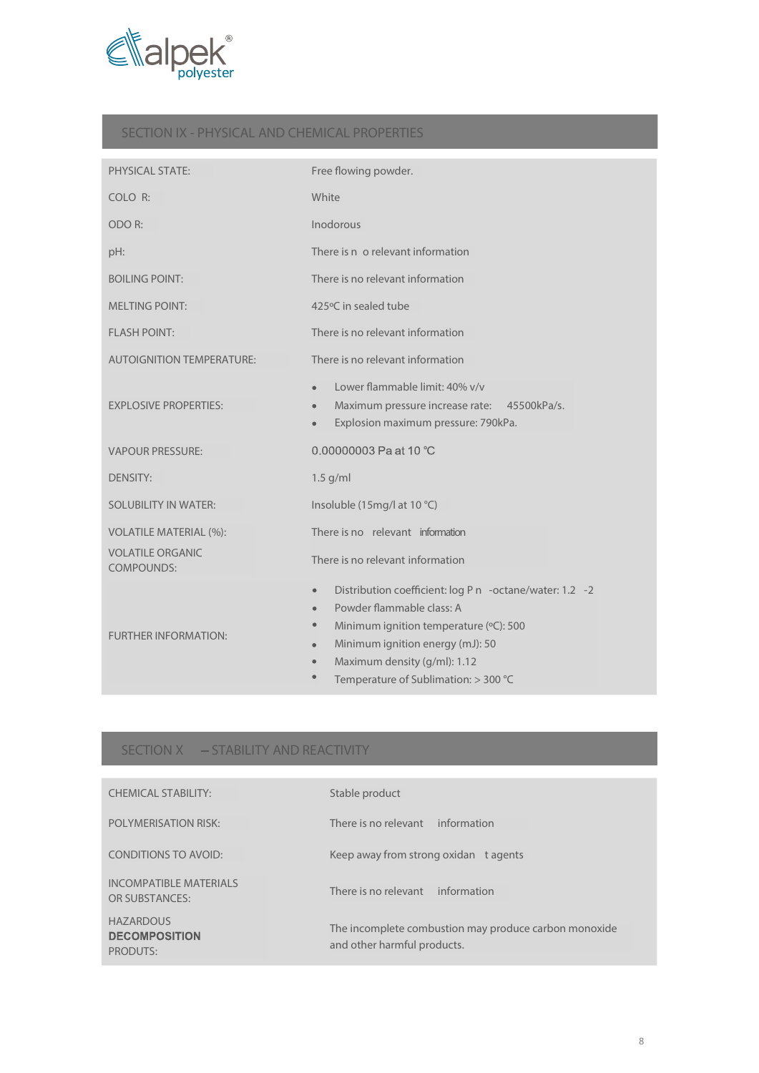

### SECTION IX - PHYSICAL AND CHEMICAL PROPERTIES

| <b>PHYSICAL STATE:</b>                                                        | Free flowing powder.                                                                                                                                                                                                                                                                                        |
|-------------------------------------------------------------------------------|-------------------------------------------------------------------------------------------------------------------------------------------------------------------------------------------------------------------------------------------------------------------------------------------------------------|
| COLO R:                                                                       | White                                                                                                                                                                                                                                                                                                       |
| ODO R:                                                                        | Inodorous                                                                                                                                                                                                                                                                                                   |
| pH:                                                                           | There is n o relevant information                                                                                                                                                                                                                                                                           |
| <b>BOILING POINT:</b>                                                         | There is no relevant information                                                                                                                                                                                                                                                                            |
| <b>MELTING POINT:</b>                                                         | 425°C in sealed tube                                                                                                                                                                                                                                                                                        |
| <b>FLASH POINT:</b>                                                           | There is no relevant information                                                                                                                                                                                                                                                                            |
| <b>AUTOIGNITION TEMPERATURE:</b>                                              | There is no relevant information                                                                                                                                                                                                                                                                            |
| <b>EXPLOSIVE PROPERTIES:</b>                                                  | Lower flammable limit: 40% v/v<br>$\bullet$<br>Maximum pressure increase rate: 45500kPa/s.<br>$\bullet$<br>Explosion maximum pressure: 790kPa.<br>$\bullet$                                                                                                                                                 |
| <b>VAPOUR PRESSURE:</b>                                                       | 0.00000003 Pa at 10 $°C$                                                                                                                                                                                                                                                                                    |
| <b>DENSITY:</b>                                                               | $1.5$ g/ml                                                                                                                                                                                                                                                                                                  |
| <b>SOLUBILITY IN WATER:</b>                                                   | Insoluble (15mg/l at 10 °C)                                                                                                                                                                                                                                                                                 |
| <b>VOLATILE MATERIAL (%):</b><br><b>VOLATILE ORGANIC</b><br><b>COMPOUNDS:</b> | There is no relevant information<br>There is no relevant information                                                                                                                                                                                                                                        |
| <b>FURTHER INFORMATION:</b>                                                   | Distribution coefficient: log P n -octane/water: 1.2 -2<br>$\bullet$<br>Powder flammable class: A<br>$\bullet$<br>Minimum ignition temperature (°C): 500<br>$\bullet$<br>Minimum ignition energy (mJ): 50<br>$\bullet$<br>Maximum density (g/ml): 1.12<br>$\bullet$<br>Temperature of Sublimation: > 300 °C |

# SECTION X - STABILITY AND REACTIVITY

| <b>CHEMICAL STABILITY:</b>                           | Stable product                                                                       |
|------------------------------------------------------|--------------------------------------------------------------------------------------|
| <b>POLYMERISATION RISK:</b>                          | information<br>There is no relevant                                                  |
| CONDITIONS TO AVOID:                                 | Keep away from strong oxidan t agents                                                |
| INCOMPATIBLE MATERIALS<br>OR SUBSTANCES:             | There is no relevant information                                                     |
| <b>HAZARDOUS</b><br><b>DECOMPOSITION</b><br>PRODUTS: | The incomplete combustion may produce carbon monoxide<br>and other harmful products. |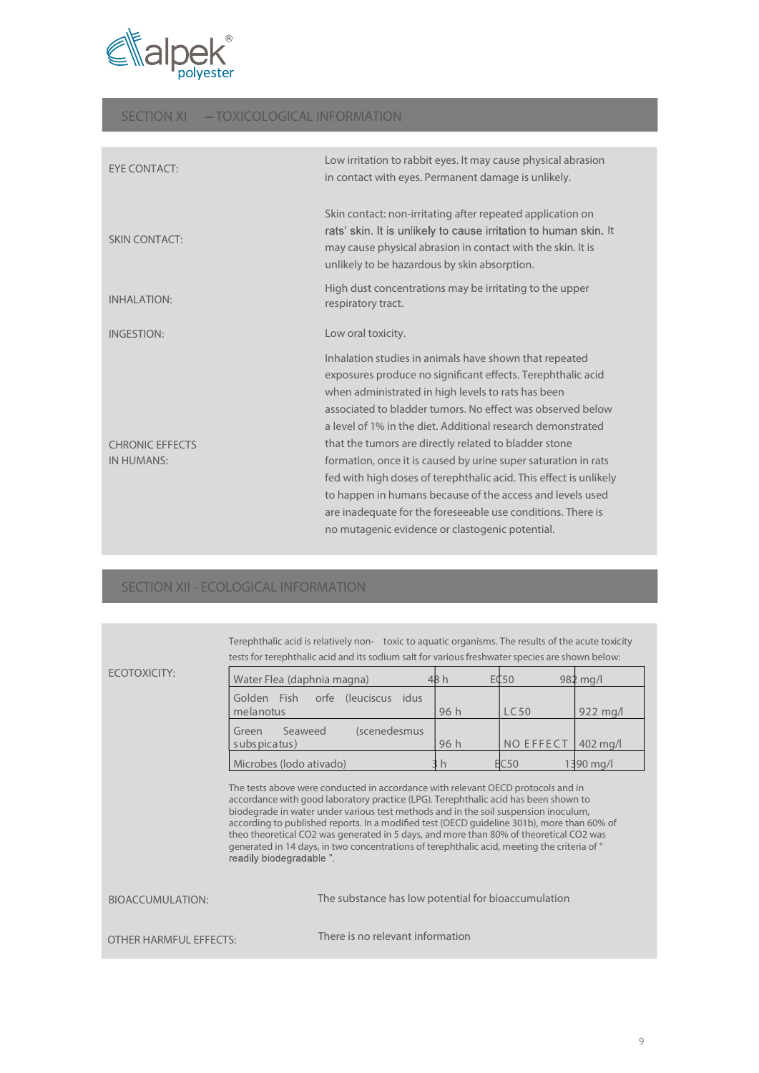

### SECTION XI - TOXICOLOGICAL INFORMATION

| EYE CONTACT:                  | Low irritation to rabbit eyes. It may cause physical abrasion<br>in contact with eyes. Permanent damage is unlikely.                                                                                                                                                                                                                                                                                                                                                                                                                                                                                                                                                                    |
|-------------------------------|-----------------------------------------------------------------------------------------------------------------------------------------------------------------------------------------------------------------------------------------------------------------------------------------------------------------------------------------------------------------------------------------------------------------------------------------------------------------------------------------------------------------------------------------------------------------------------------------------------------------------------------------------------------------------------------------|
| <b>SKIN CONTACT:</b>          | Skin contact: non-irritating after repeated application on<br>rats' skin. It is unlikely to cause irritation to human skin. It<br>may cause physical abrasion in contact with the skin. It is<br>unlikely to be hazardous by skin absorption.                                                                                                                                                                                                                                                                                                                                                                                                                                           |
| <b>INHALATION:</b>            | High dust concentrations may be irritating to the upper<br>respiratory tract.                                                                                                                                                                                                                                                                                                                                                                                                                                                                                                                                                                                                           |
| <b>INGESTION:</b>             | Low oral toxicity.                                                                                                                                                                                                                                                                                                                                                                                                                                                                                                                                                                                                                                                                      |
| CHRONIC FFFFCTS<br>IN HUMANS: | Inhalation studies in animals have shown that repeated<br>exposures produce no significant effects. Terephthalic acid<br>when administrated in high levels to rats has been<br>associated to bladder tumors. No effect was observed below<br>a level of 1% in the diet. Additional research demonstrated<br>that the tumors are directly related to bladder stone<br>formation, once it is caused by urine super saturation in rats<br>fed with high doses of terephthalic acid. This effect is unlikely<br>to happen in humans because of the access and levels used<br>are inadequate for the foreseeable use conditions. There is<br>no mutagenic evidence or clastogenic potential. |

# SECTION XII - ECOLOGICAL INFORMATION

|                        | <u>icsis for telephtinalic acid and its soundin sait for various fieshwater species are shown below.</u>                                                                                                                                                                                                                                                                                                                                                                                                                                                                         |      |                  |                    |  |  |  |
|------------------------|----------------------------------------------------------------------------------------------------------------------------------------------------------------------------------------------------------------------------------------------------------------------------------------------------------------------------------------------------------------------------------------------------------------------------------------------------------------------------------------------------------------------------------------------------------------------------------|------|------------------|--------------------|--|--|--|
| ECOTOXICITY:           | Water Flea (daphnia magna)                                                                                                                                                                                                                                                                                                                                                                                                                                                                                                                                                       | 48h  | E¢50             | $982 \text{ mg/l}$ |  |  |  |
|                        | Golden Fish<br>(leuciscus)<br>orfe<br>idus<br>melanotus                                                                                                                                                                                                                                                                                                                                                                                                                                                                                                                          | 96 h | LC50             | $922 \text{ mg}$   |  |  |  |
|                        | Seaweed<br>(scenedesmus<br>Green<br>s ubs picatus)                                                                                                                                                                                                                                                                                                                                                                                                                                                                                                                               | 96h  | <b>NO EFFECT</b> | $402$ mg/l         |  |  |  |
|                        | Microbes (lodo ativado)                                                                                                                                                                                                                                                                                                                                                                                                                                                                                                                                                          | h    | <b>EC50</b>      | 1390 mg/l          |  |  |  |
|                        | The tests above were conducted in accordance with relevant OECD protocols and in<br>accordance with good laboratory practice (LPG). Terephthalic acid has been shown to<br>biodegrade in water under various test methods and in the soil suspension inoculum,<br>according to published reports. In a modified test (OECD quideline 301b), more than 60% of<br>theo theoretical CO2 was generated in 5 days, and more than 80% of theoretical CO2 was<br>generated in 14 days, in two concentrations of terephthalic acid, meeting the criteria of "<br>readily biodegradable " |      |                  |                    |  |  |  |
| <b>BIOACCUMULATION</b> | The substance has low potential for bioaccumulation                                                                                                                                                                                                                                                                                                                                                                                                                                                                                                                              |      |                  |                    |  |  |  |

Terephthalic acid is relatively non- toxic to aquatic organisms. The results of the acute toxicity testsfor terephthalic acid and itssodium salt for variousfreshwaterspecies are shown below:

| BIOACCUMULATION:       | The substance has low potential for bioaccumulation |
|------------------------|-----------------------------------------------------|
| OTHER HARMFUL EFFECTS: | There is no relevant information                    |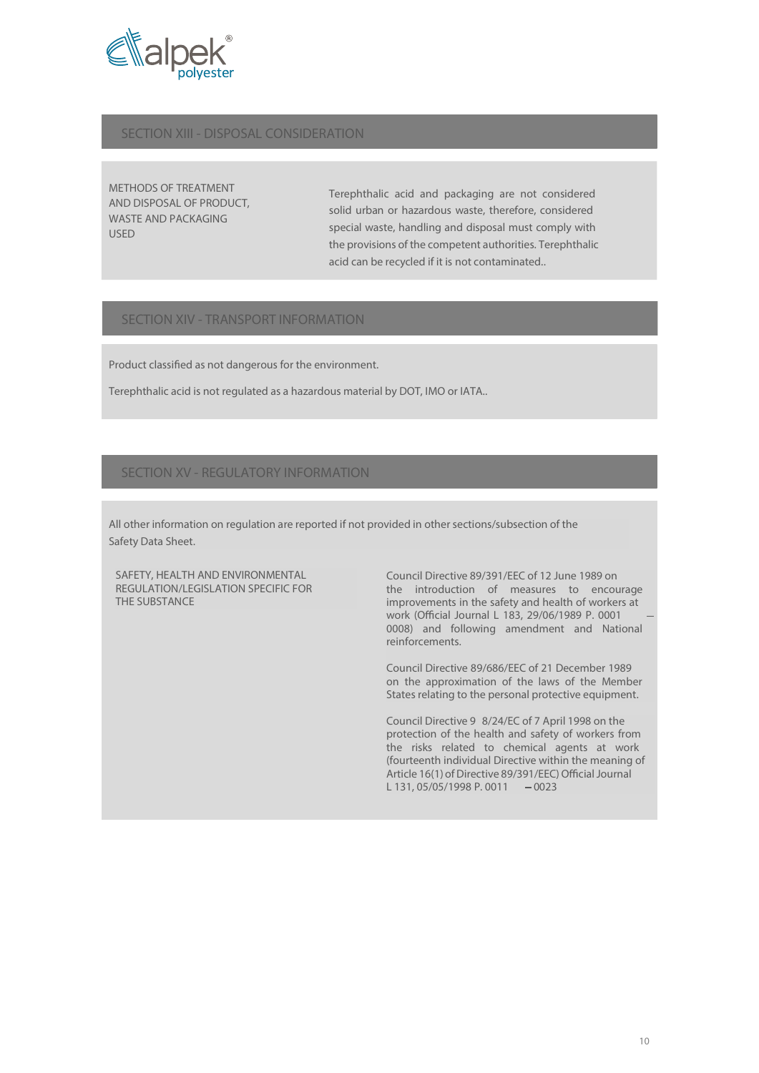

#### SECTION XIII - DISPOSAL CONSIDERATION

METHODS OF TREATMENT AND DISPOSAL OF PRODUCT, WASTE AND PACKAGING USED

Terephthalic acid and packaging are not considered solid urban or hazardous waste, therefore, considered special waste, handling and disposal must comply with the provisions of the competent authorities. Terephthalic acid can be recycled if it is not contaminated..

#### SECTION XIV - TRANSPORT INFORMATION

Product classified as not dangerous for the environment.

Terephthalic acid is not regulated as a hazardous material by DOT, IMO or IATA..

#### SECTION XV - REGULATORY INFORMATION

All other information on regulation are reported if not provided in other sections/subsection of the Safety Data Sheet.

SAFETY, HEALTH AND ENVIRONMENTAL REGULATION/LEGISLATION SPECIFIC FOR THE SUBSTANCE

Council Directive 89/391/EEC of 12 June 1989 on the introduction of measures to encourage improvements in the safety and health of workers at work (Official Journal L 183, 29/06/1989 P. 0001 0008) and following amendment and National reinforcements.

Council Directive 89/686/EEC of 21 December 1989 on the approximation of the laws of the Member States relating to the personal protective equipment.

Council Directive 9 8/24/EC of 7 April 1998 on the protection of the health and safety of workers from the risks related to chemical agents at work (fourteenth individual Directive within the meaning of Article 16(1) of Directive 89/391/EEC) Official Journal L 131, 05/05/1998 P. 0011  $-0023$